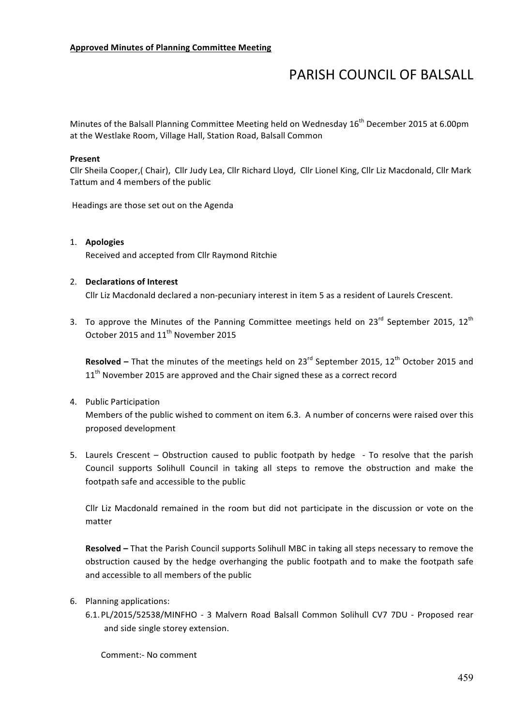## **PARISH COUNCIL OF BALSALL**

Minutes of the Balsall Planning Committee Meeting held on Wednesday 16<sup>th</sup> December 2015 at 6.00pm at the Westlake Room, Village Hall, Station Road, Balsall Common

## **Present**

Cllr Sheila Cooper,( Chair), Cllr Judy Lea, Cllr Richard Lloyd, Cllr Lionel King, Cllr Liz Macdonald, Cllr Mark Tattum and 4 members of the public

Headings are those set out on the Agenda

## 1. **Apologies**

Received and accepted from Cllr Raymond Ritchie

## 2. **Declarations of Interest**

Cllr Liz Macdonald declared a non-pecuniary interest in item 5 as a resident of Laurels Crescent.

3. To approve the Minutes of the Panning Committee meetings held on  $23^{rd}$  September 2015,  $12^{th}$ October 2015 and 11<sup>th</sup> November 2015

**Resolved** – That the minutes of the meetings held on 23<sup>rd</sup> September 2015, 12<sup>th</sup> October 2015 and  $11<sup>th</sup>$  November 2015 are approved and the Chair signed these as a correct record

4. Public Participation

Members of the public wished to comment on item 6.3. A number of concerns were raised over this proposed development

5. Laurels Crescent – Obstruction caused to public footpath by hedge - To resolve that the parish Council supports Solihull Council in taking all steps to remove the obstruction and make the footpath safe and accessible to the public

Cllr Liz Macdonald remained in the room but did not participate in the discussion or vote on the matter

**Resolved** – That the Parish Council supports Solihull MBC in taking all steps necessary to remove the obstruction caused by the hedge overhanging the public footpath and to make the footpath safe and accessible to all members of the public

- 6. Planning applications:
	- 6.1. PL/2015/52538/MINFHO 3 Malvern Road Balsall Common Solihull CV7 7DU Proposed rear and side single storey extension.

Comment:- No comment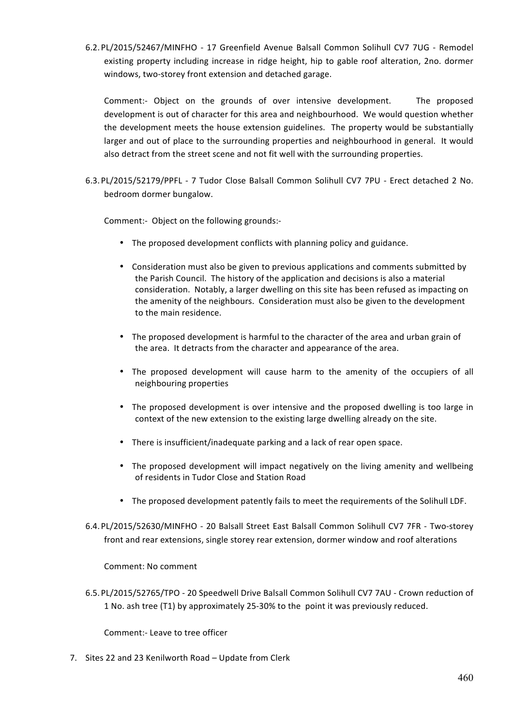6.2. PL/2015/52467/MINFHO - 17 Greenfield Avenue Balsall Common Solihull CV7 7UG - Remodel existing property including increase in ridge height, hip to gable roof alteration, 2no. dormer windows, two-storey front extension and detached garage.

Comment:- Object on the grounds of over intensive development. The proposed development is out of character for this area and neighbourhood. We would question whether the development meets the house extension guidelines. The property would be substantially larger and out of place to the surrounding properties and neighbourhood in general. It would also detract from the street scene and not fit well with the surrounding properties.

6.3. PL/2015/52179/PPFL - 7 Tudor Close Balsall Common Solihull CV7 7PU - Erect detached 2 No. bedroom dormer bungalow.

Comment:- Object on the following grounds:-

- The proposed development conflicts with planning policy and guidance.
- Consideration must also be given to previous applications and comments submitted by the Parish Council. The history of the application and decisions is also a material consideration. Notably, a larger dwelling on this site has been refused as impacting on the amenity of the neighbours. Consideration must also be given to the development to the main residence.
- The proposed development is harmful to the character of the area and urban grain of the area. It detracts from the character and appearance of the area.
- The proposed development will cause harm to the amenity of the occupiers of all neighbouring properties
- The proposed development is over intensive and the proposed dwelling is too large in context of the new extension to the existing large dwelling already on the site.
- There is insufficient/inadequate parking and a lack of rear open space.
- The proposed development will impact negatively on the living amenity and wellbeing of residents in Tudor Close and Station Road
- The proposed development patently fails to meet the requirements of the Solihull LDF.
- 6.4. PL/2015/52630/MINFHO 20 Balsall Street East Balsall Common Solihull CV7 7FR Two-storey front and rear extensions, single storey rear extension, dormer window and roof alterations

Comment: No comment

6.5. PL/2015/52765/TPO - 20 Speedwell Drive Balsall Common Solihull CV7 7AU - Crown reduction of 1 No. ash tree (T1) by approximately 25-30% to the point it was previously reduced.

Comment:- Leave to tree officer

7. Sites 22 and 23 Kenilworth Road – Update from Clerk